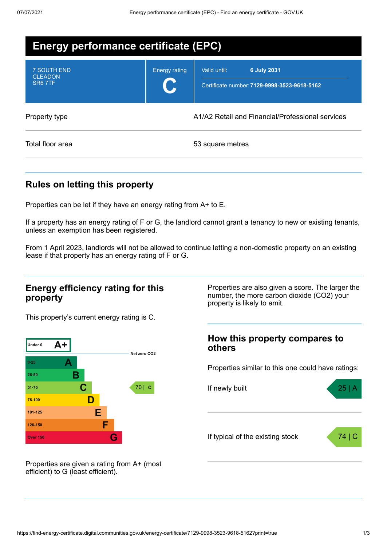| Energy performance certificate (EPC)                        |                                                  |                                                                             |  |  |
|-------------------------------------------------------------|--------------------------------------------------|-----------------------------------------------------------------------------|--|--|
| <b>7 SOUTH END</b><br><b>CLEADON</b><br>SR <sub>6</sub> 7TF | <b>Energy rating</b>                             | 6 July 2031<br>Valid until:<br>Certificate number: 7129-9998-3523-9618-5162 |  |  |
| Property type                                               | A1/A2 Retail and Financial/Professional services |                                                                             |  |  |
| Total floor area                                            |                                                  | 53 square metres                                                            |  |  |

## **Rules on letting this property**

Properties can be let if they have an energy rating from A+ to E.

If a property has an energy rating of F or G, the landlord cannot grant a tenancy to new or existing tenants, unless an exemption has been registered.

From 1 April 2023, landlords will not be allowed to continue letting a non-domestic property on an existing lease if that property has an energy rating of F or G.

### **Energy efficiency rating for this property**

This property's current energy rating is C.



number, the more carbon dioxide (CO2) your property is likely to emit.

Properties are also given a score. The larger the

### **How this property compares to others**

Properties similar to this one could have ratings:



Properties are given a rating from A+ (most efficient) to G (least efficient).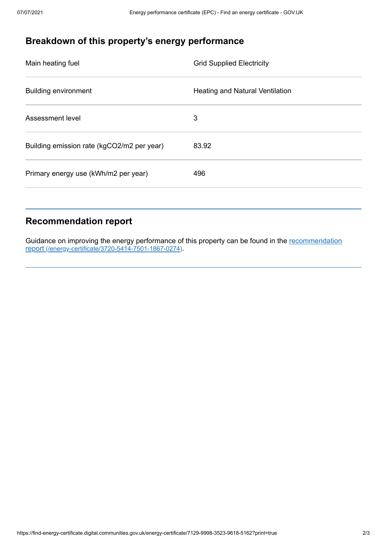# **Breakdown of this property's energy performance**

| Main heating fuel                          | <b>Grid Supplied Electricity</b>       |
|--------------------------------------------|----------------------------------------|
| <b>Building environment</b>                | <b>Heating and Natural Ventilation</b> |
| Assessment level                           | 3                                      |
| Building emission rate (kgCO2/m2 per year) | 83.92                                  |
| Primary energy use (kWh/m2 per year)       | 496                                    |
|                                            |                                        |

### **Recommendation report**

Guidance on improving the energy performance of this property can be found in the recommendation report [\(/energy-certificate/3720-5414-7501-1867-0274\)](https://find-energy-certificate.digital.communities.gov.uk/energy-certificate/3720-5414-7501-1867-0274).